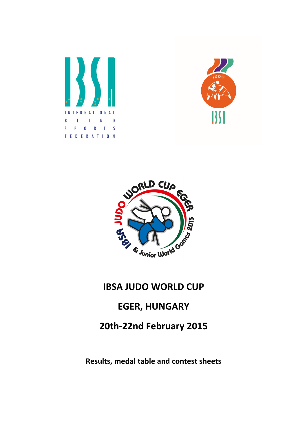





## IBSA JUDO WORLD CUP

### EGER, HUNGARY

## 20th-22nd February 2015

#### Results, medal table and contest sheets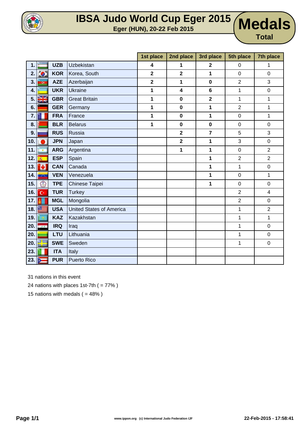

## **IBSA Judo World Cup Eger 2015 Eger (HUN), 20-22 Feb 2015 Medals**

**Medals** 

|     |                         |            |                                 | 1st place      | 2nd place               | 3rd place               | 5th place      | 7th place      |
|-----|-------------------------|------------|---------------------------------|----------------|-------------------------|-------------------------|----------------|----------------|
| 1.  |                         | <b>UZB</b> | Uzbekistan                      | 4              | 1                       | $\overline{\mathbf{2}}$ | $\mathbf 0$    | 1              |
| 2.  | $\sum_{i=1}^{N}$        | <b>KOR</b> | Korea, South                    | $\overline{2}$ | $\overline{\mathbf{2}}$ | 1                       | $\mathbf 0$    | $\mathbf 0$    |
| 3.  | $\overline{\mathbf{G}}$ | <b>AZE</b> | Azerbaijan                      | $\overline{2}$ | 1                       | $\bf{0}$                | $\overline{2}$ | 3              |
| 4.  |                         | <b>UKR</b> | <b>Ukraine</b>                  | 1              | 4                       | $\bf 6$                 | 1              | 0              |
| 5.  | X                       | <b>GBR</b> | <b>Great Britain</b>            | 1              | $\mathbf 0$             | $\overline{\mathbf{2}}$ | 1              | 1              |
| 6.  |                         | <b>GER</b> | Germany                         | 1              | $\mathbf 0$             | 1                       | $\overline{2}$ | 1              |
| 7.  |                         | <b>FRA</b> | France                          | 1              | $\mathbf 0$             | 1                       | $\pmb{0}$      | 1              |
| 8.  |                         | <b>BLR</b> | <b>Belarus</b>                  | 1              | $\mathbf 0$             | $\bf{0}$                | $\pmb{0}$      | $\mathbf 0$    |
| 9.  |                         | <b>RUS</b> | Russia                          |                | $\overline{\mathbf{2}}$ | $\overline{7}$          | 5              | 3              |
| 10. |                         | <b>JPN</b> | Japan                           |                | $\overline{\mathbf{2}}$ | 1                       | 3              | $\mathsf 0$    |
| 11. | $\bullet$               | <b>ARG</b> | Argentina                       |                | 1                       | 1                       | $\pmb{0}$      | $\overline{2}$ |
| 12. | $\bar{m}$               | <b>ESP</b> | Spain                           |                |                         | 1                       | $\overline{2}$ | $\overline{2}$ |
| 13. | ١Ø                      | <b>CAN</b> | Canada                          |                |                         | 1                       | $\mathbf{1}$   | $\mathsf 0$    |
| 14. | <b>START</b>            | <b>VEN</b> | Venezuela                       |                |                         | 1                       | $\pmb{0}$      | $\mathbf{1}$   |
| 15. | $\circledS$             | <b>TPE</b> | Chinese Taipei                  |                |                         | 1                       | $\mathbf 0$    | $\mathbf 0$    |
| 16. | Ċ.                      | <b>TUR</b> | <b>Turkey</b>                   |                |                         |                         | $\overline{2}$ | 4              |
| 17. |                         | <b>MGL</b> | Mongolia                        |                |                         |                         | $\overline{2}$ | 0              |
| 18. |                         | <b>USA</b> | <b>United States of America</b> |                |                         |                         | 1              | $\overline{2}$ |
| 19. |                         | <b>KAZ</b> | Kazakhstan                      |                |                         |                         | $\mathbf{1}$   | $\mathbf 1$    |
| 20. | <b>BAA</b>              | <b>IRQ</b> | Iraq                            |                |                         |                         | 1              | $\mathsf 0$    |
| 20. |                         | <b>LTU</b> | Lithuania                       |                |                         |                         | 1              | $\mathsf 0$    |
| 20. | ∵                       | <b>SWE</b> | Sweden                          |                |                         |                         | 1              | $\mathbf 0$    |
| 23. |                         | <b>ITA</b> | Italy                           |                |                         |                         |                |                |
| 23. | $\frac{1}{2}$           | <b>PUR</b> | <b>Puerto Rico</b>              |                |                         |                         |                |                |

31 nations in this event

24 nations with places 1st-7th  $( = 77\%)$ 

15 nations with medals  $( = 48\%)$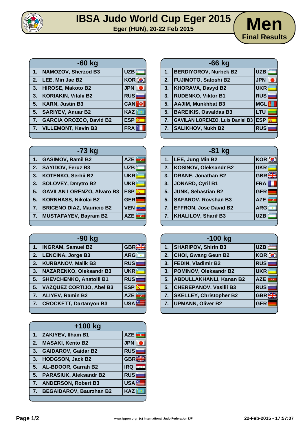

# **IBSA Judo World Cup Eger 2015**<br> **Eger (HUN), 20-22 Feb 2015**



|    | -60 kg                         |                           |  |  |
|----|--------------------------------|---------------------------|--|--|
| 1. | NAMOZOV, Sherzod B3            | <b>UZB</b>                |  |  |
| 2. | LEE, Min Jae B2                | <b>KOR O</b>              |  |  |
| 3. | HIROSE, Makoto B2              | <b>JPN</b>                |  |  |
| 3. | <b>KORIAKIN, Vitalii B2</b>    | <b>RUS</b>                |  |  |
| 5. | <b>KARN, Justin B3</b>         | <b>CAN</b>                |  |  |
| 5. | <b>SARIYEV, Anuar B2</b>       | <b>KAZ</b>                |  |  |
| 7. | <b>GARCIA OROZCO, David B2</b> | <b>ESP</b><br>$\vec{m}_0$ |  |  |
| 7. | <b>VILLEMONT, Kevin B3</b>     | <b>FRA</b>                |  |  |

|    | $-66$ kg                               |            |  |  |
|----|----------------------------------------|------------|--|--|
| 1. | <b>BERDIYOROV, Nurbek B2</b>           | <b>UZB</b> |  |  |
| 2. | <b>FUJIMOTO, Satoshi B2</b>            | <b>JPN</b> |  |  |
| 3. | <b>KHORAVA, Davyd B2</b>               | <b>UKR</b> |  |  |
| 3. | <b>RUDENKO, Viktor B1</b>              | <b>RUS</b> |  |  |
| 5. | <b>AAJIM, Munkhbat B3</b>              | <b>MGL</b> |  |  |
| 5. | <b>BAREIKIS, Osvaldas B3</b>           | LTU        |  |  |
| 7. | <b>GAVILAN LORENZO, Luis Daniel B3</b> | <b>ESP</b> |  |  |
| 7. | <b>SALIKHOV, Nukh B2</b>               | <b>RUS</b> |  |  |
|    |                                        |            |  |  |

|                  | $-73$ kg                          |                 |  |  |
|------------------|-----------------------------------|-----------------|--|--|
| 1.               | <b>GASIMOV, Ramil B2</b>          | <b>AZE</b>      |  |  |
| 2.               | <b>SAYIDOV, Feruz B3</b>          | <b>UZB</b>      |  |  |
| 3.               | <b>KOTENKO, Serhii B2</b>         | <b>UKR</b>      |  |  |
| 3.               | <b>SOLOVEY, Dmytro B2</b>         | <b>UKR</b>      |  |  |
| 5.               | <b>GAVILAN LORENZO, Alvaro B3</b> | <b>ESP</b><br>燕 |  |  |
| 5.               | <b>KORNHASS, Nikolai B2</b>       | <b>GER</b>      |  |  |
| $\overline{7}$ . | <b>BRICENO DIAZ, Mauricio B2</b>  | <b>VEN</b>      |  |  |
| 7.               | <b>MUSTAFAYEV, Bayram B2</b>      | <b>AZE</b>      |  |  |
|                  |                                   |                 |  |  |

| -90 kg |                                 |            |  |  |  |
|--------|---------------------------------|------------|--|--|--|
| 1.     | <b>INGRAM, Samuel B2</b>        | GBR        |  |  |  |
| 2.     | LENCINA, Jorge B3               | <b>ARG</b> |  |  |  |
| 3.     | <b>KURBANOV, Malik B3</b>       | <b>RUS</b> |  |  |  |
| 3.     | <b>NAZARENKO, Oleksandr B3</b>  | <b>UKR</b> |  |  |  |
| 5.     | <b>SHEVCHENKO, Anatolii B1</b>  | <b>RUS</b> |  |  |  |
| 5.     | <b>VAZQUEZ CORTIJO, Abel B3</b> | <b>ESP</b> |  |  |  |
| 7.     | <b>ALIYEV, Ramin B2</b>         | <b>AZE</b> |  |  |  |
| 7.     | <b>CROCKETT, Dartanyon B3</b>   | <b>USA</b> |  |  |  |
|        |                                 |            |  |  |  |

|    | +100 kg                        |            |  |  |
|----|--------------------------------|------------|--|--|
| 1. | <b>ZAKIYEV, Ilham B1</b>       | <b>AZE</b> |  |  |
| 2. | <b>MASAKI, Kento B2</b>        | <b>JPN</b> |  |  |
| 3. | <b>GAIDAROV, Gaidar B2</b>     | <b>RUS</b> |  |  |
| 3. | <b>HODGSON, Jack B2</b>        | <b>GBR</b> |  |  |
| 5. | AL-BDOOR, Garrah B2            | <b>IRQ</b> |  |  |
| 5. | <b>PARASIUK, Aleksandr B2</b>  | <b>RUS</b> |  |  |
| 7. | <b>ANDERSON, Robert B3</b>     | <b>USA</b> |  |  |
| 7. | <b>BEGAIDAROV, Baurzhan B2</b> | <b>KAZ</b> |  |  |
|    |                                |            |  |  |

| $-81$ kg       |                              |                            |  |  |
|----------------|------------------------------|----------------------------|--|--|
| 1 <sub>1</sub> | LEE, Jung Min B2             | <b>KOR O</b>               |  |  |
| 2.             | <b>KOSINOV, Oleksandr B2</b> | <b>UKR</b>                 |  |  |
| 3.             | <b>DRANE, Jonathan B2</b>    | <b>GBRE</b>                |  |  |
| 3.             | JONARD, Cyril B1             | <b>FRA</b>                 |  |  |
| 5.             | JUNK, Sebastian B2           | <b>GER</b>                 |  |  |
| 5.             | <b>SAFAROV, Rovshan B3</b>   | <b>AZE</b><br>$\mathbf{G}$ |  |  |
| 7.             | <b>EFFRON, Jose David B2</b> | <b>ARG</b>                 |  |  |
| 7.             | <b>KHALILOV, Sharif B3</b>   | <b>UZB</b>                 |  |  |

|    | $-100$ kg                      |            |  |  |
|----|--------------------------------|------------|--|--|
| 1. | <b>SHARIPOV, Shirin B3</b>     | <b>UZB</b> |  |  |
| 2. | <b>CHOI, Gwang Geun B2</b>     | KOR O      |  |  |
| 3. | FEDIN, Vladimir B2             | <b>RUS</b> |  |  |
| 3. | POMINOV, Oleksandr B2          | <b>UKR</b> |  |  |
| 5. | <b>ABDULLAKHANLI, Kanan B2</b> | <b>AZE</b> |  |  |
| 5. | <b>CHEREPANOV, Vasilii B3</b>  | <b>RUS</b> |  |  |
| 7. | <b>SKELLEY, Christopher B2</b> | GBR        |  |  |
| 7. | <b>UPMANN, Oliver B2</b>       | <b>GER</b> |  |  |
|    |                                |            |  |  |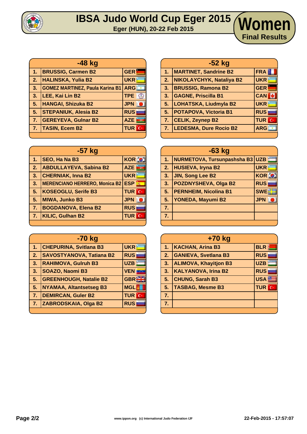

#### **IBSA Judo World Cup Eger 2015 Eger (HUN), 20-22 Feb 2015 Women**

| $-48$ kg         |                                        |                              |  |
|------------------|----------------------------------------|------------------------------|--|
| 47               | <b>BRUSSIG, Carmen B2</b>              | <b>GER</b>                   |  |
| $\overline{2}$ . | <b>HALINSKA, Yulia B2</b>              | <b>UKR</b>                   |  |
| 3.               | <b>GOMEZ MARTINEZ, Paula Karina B1</b> | <b>ARG</b>                   |  |
| 3.               | LEE, Kai Lin B2                        | <b>TPE</b><br>$\circ$        |  |
| 5.               | HANGAI, Shizuka B2                     | <b>JPN</b>                   |  |
| 5.               | <b>STEPANIUK, Alesia B2</b>            | <b>RUS</b>                   |  |
| 7 <sub>1</sub>   | <b>GEREYEVA, Gulnar B2</b>             | <b>AZE</b><br>$\overline{a}$ |  |
| $\bullet$        | <b>TASIN, Ecem B2</b>                  | <b>TUR C</b>                 |  |
|                  |                                        |                              |  |

| -57 kg         |                                     |                    |  |  |  |
|----------------|-------------------------------------|--------------------|--|--|--|
| 1.             | SEO, Ha Na B3                       | <b>KOR O</b>       |  |  |  |
| 2.             | <b>ABDULLAYEVA, Sabina B2</b>       | <u>ince</u><br>AZE |  |  |  |
| 3.             | <b>CHERNIAK, Inna B2</b>            | <b>UKR</b>         |  |  |  |
| 3.             | MERENCIANO HERRERO, Monica B2   ESP | $\vec{m}_0$        |  |  |  |
| 5.             | KOSEOGLU, Serife B3                 | <b>TUR</b> C       |  |  |  |
| 5.             | <b>MIWA, Junko B3</b>               | <b>JPN</b>         |  |  |  |
| 7 <sub>1</sub> | <b>BOGDANOVA, Elena B2</b>          | <b>RUS</b>         |  |  |  |
| 7.             | <b>KILIC, Gulhan B2</b>             | <b>TUR</b> C       |  |  |  |
|                |                                     |                    |  |  |  |

| -70 kg |                                 |              |  |
|--------|---------------------------------|--------------|--|
| 1.     | <b>CHEPURINA, Svitlana B3</b>   | <b>UKR</b>   |  |
| 2.     | <b>SAVOSTYANOVA, Tatiana B2</b> | <b>RUS</b>   |  |
| 3.     | <b>RAHIMOVA, Gulruh B3</b>      | <b>UZB</b>   |  |
| 3.     | SOAZO, Naomi B3                 | <b>VEN</b>   |  |
| 5.     | <b>GREENHOUGH, Natalie B2</b>   | <b>GBR</b>   |  |
| 5.     | <b>NYAMAA, Altantsetseg B3</b>  | <b>MGL</b>   |  |
| 7.     | <b>DEMIRCAN, Guler B2</b>       | <b>TUR</b> C |  |
| 7.     | ZABRODSKAIA, Olga B2            | <b>RUS</b>   |  |
|        |                                 |              |  |

|    | -52 kg                        |              |  |  |
|----|-------------------------------|--------------|--|--|
| 1. | <b>MARTINET, Sandrine B2</b>  | FRA          |  |  |
| 2. | NIKOLAYCHYK, Nataliya B2      | <b>UKR</b>   |  |  |
| 3. | <b>BRUSSIG, Ramona B2</b>     | <b>GER</b>   |  |  |
| 3. | <b>GAGNE, Priscilla B1</b>    | <b>CAN</b>   |  |  |
| 5. | <b>LOHATSKA, Liudmyla B2</b>  | <b>UKR</b>   |  |  |
| 5. | <b>POTAPOVA, Victoria B1</b>  | <b>RUS</b>   |  |  |
| 7. | <b>CELIK, Zeynep B2</b>       | <b>TUR</b> C |  |  |
| 7. | <b>LEDESMA, Dure Rocio B2</b> | <b>ARG</b>   |  |  |
|    |                               |              |  |  |

**Final Results**

| $-63$ kg |                                 |              |  |
|----------|---------------------------------|--------------|--|
| 1.       | NURMETOVA, Tursunpashsha B3 UZB |              |  |
| 2.       | <b>HUSIEVA, Iryna B2</b>        | <b>UKR</b>   |  |
| 3.       | <b>JIN, Song Lee B2</b>         | <b>KOR O</b> |  |
| 3.       | <b>POZDNYSHEVA, Olga B2</b>     | <b>RUS</b>   |  |
| 5.       | <b>PERNHEIM, Nicolina B1</b>    | <b>SWE</b>   |  |
| 5.       | YONEDA, Mayumi B2               | <b>JPN</b>   |  |
| 7.       |                                 |              |  |
| 7.       |                                 |              |  |
|          |                                 |              |  |

| +70 kg         |                              |                  |  |
|----------------|------------------------------|------------------|--|
| 1 <sub>1</sub> | <b>KACHAN, Arina B3</b>      | <b>BLR</b>       |  |
| 2.             | <b>GANIEVA, Svetlana B3</b>  | <b>RUS</b>       |  |
| 3.             | <b>ALIMOVA, Khayitjon B3</b> | <b>UZB</b>       |  |
| 3 <sub>1</sub> | <b>KALYANOVA, Irina B2</b>   | <b>RUS</b>       |  |
| 5 <sub>1</sub> | <b>CHUNG, Sarah B3</b>       | USA <sup>E</sup> |  |
| 5.             | <b>TASBAG, Mesme B3</b>      | <b>TUR</b> C     |  |
| 7.             |                              |                  |  |
| 7.             |                              |                  |  |
|                |                              |                  |  |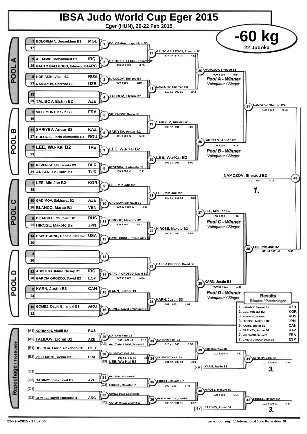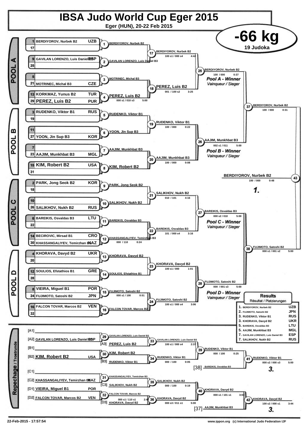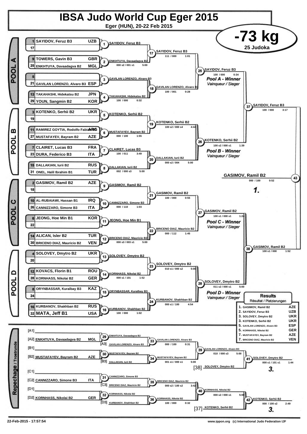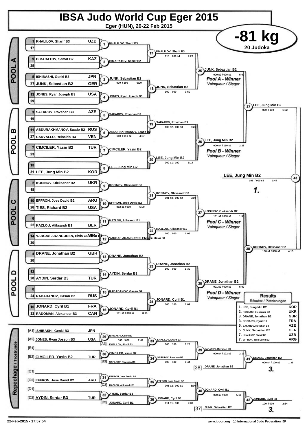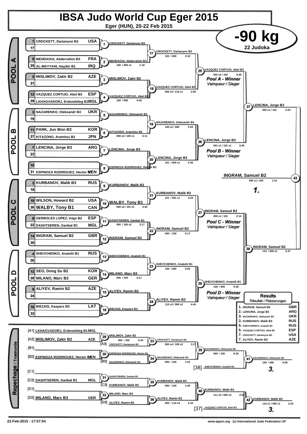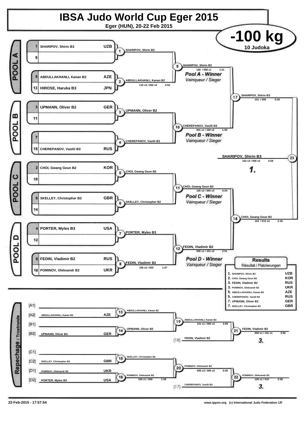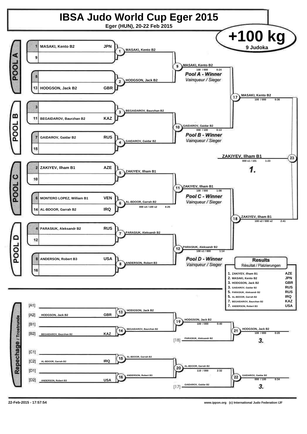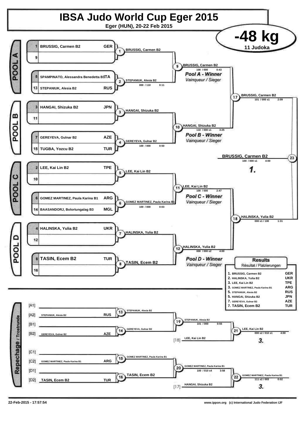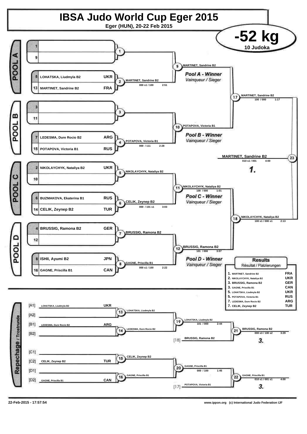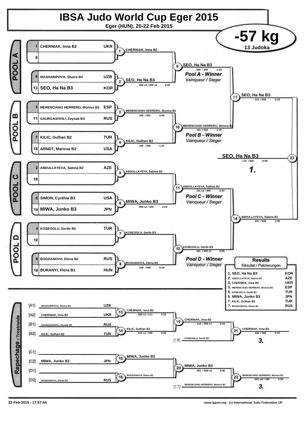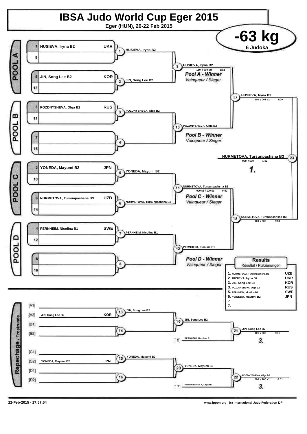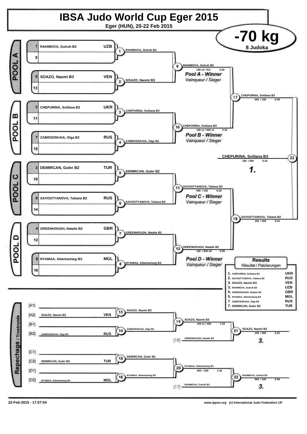